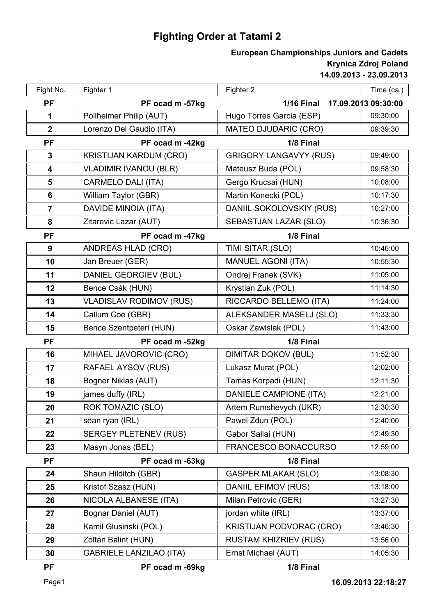## **Fighting Order at Tatami 2**

## **14.09.2013 - 23.09.2013 Krynica Zdroj Poland European Championships Juniors and Cadets**

| Fight No.               | Fighter 1                      | Fighter 2                                | Time (ca.) |
|-------------------------|--------------------------------|------------------------------------------|------------|
| <b>PF</b>               | PF ocad m -57kg                | <b>1/16 Final</b><br>17.09.2013 09:30:00 |            |
| $\mathbf 1$             | Pollheimer Philip (AUT)        | Hugo Torres Garcia (ESP)                 | 09:30:00   |
| $\mathbf{2}$            | Lorenzo Del Gaudio (ITA)       | <b>MATEO DJUDARIC (CRO)</b>              | 09:39:30   |
| <b>PF</b>               | PF ocad m -42kg                | 1/8 Final                                |            |
| $\mathbf{3}$            | <b>KRISTIJAN KARDUM (CRO)</b>  | <b>GRIGORY LANGAVYY (RUS)</b>            | 09:49:00   |
| $\overline{\mathbf{4}}$ | <b>VLADIMIR IVANOU (BLR)</b>   | Mateusz Buda (POL)                       | 09:58:30   |
| $5\phantom{1}$          | <b>CARMELO DALI (ITA)</b>      | Gergo Krucsai (HUN)                      | 10:08:00   |
| 6                       | William Taylor (GBR)           | Martin Konecki (POL)                     | 10:17:30   |
| $\overline{7}$          | DAVIDE MINOIA (ITA)            | DANIIL SOKOLOVSKIY (RUS)                 | 10:27:00   |
| 8                       | Zitarevic Lazar (AUT)          | SEBASTJAN LAZAR (SLO)                    | 10:36:30   |
| <b>PF</b>               | PF ocad m -47kg                | 1/8 Final                                |            |
| 9                       | <b>ANDREAS HLAD (CRO)</b>      | TIMI SITAR (SLO)                         | 10:46:00   |
| 10                      | Jan Breuer (GER)               | <b>MANUEL AGONI (ITA)</b>                | 10:55:30   |
| 11                      | DANIEL GEORGIEV (BUL)          | Ondrej Franek (SVK)                      | 11:05:00   |
| 12                      | Bence Csák (HUN)               | Krystian Zuk (POL)                       | 11:14:30   |
| 13                      | <b>VLADISLAV RODIMOV (RUS)</b> | RICCARDO BELLEMO (ITA)                   | 11:24:00   |
| 14                      | Callum Coe (GBR)               | ALEKSANDER MASELJ (SLO)                  | 11:33:30   |
| 15                      | Bence Szentpeteri (HUN)        | Oskar Zawislak (POL)                     | 11:43:00   |
| <b>PF</b>               | PF ocad m -52kg                | 1/8 Final                                |            |
| 16                      | MIHAEL JAVOROVIC (CRO)         | <b>DIMITAR DQKOV (BUL)</b>               | 11:52:30   |
| 17                      | RAFAEL AYSOV (RUS)             | Lukasz Murat (POL)                       | 12:02:00   |
| 18                      | Bogner Niklas (AUT)            | Tamas Korpadi (HUN)                      | 12:11:30   |
| 19                      | james duffy (IRL)              | DANIELE CAMPIONE (ITA)                   | 12:21:00   |
| 20                      | ROK TOMAZIC (SLO)              | Artem Rumshevych (UKR)                   | 12:30:30   |
| 21                      | sean ryan (IRL)                | Pawel Zdun (POL)                         | 12:40:00   |
| 22                      | <b>SERGEY PLETENEV (RUS)</b>   | Gabor Sallai (HUN)                       | 12:49:30   |
| 23                      | Masyn Jonas (BEL)              | FRANCESCO BONACCURSO                     | 12:59:00   |
| <b>PF</b>               | PF ocad m -63kg                | 1/8 Final                                |            |
| 24                      | Shaun Hilditch (GBR)           | <b>GASPER MLAKAR (SLO)</b>               | 13:08:30   |
| 25                      | Kristof Szasz (HUN)            | DANIIL EFIMOV (RUS)                      | 13:18:00   |
| 26                      | NICOLA ALBANESE (ITA)          | Milan Petrovic (GER)                     | 13:27:30   |
| 27                      | Bognar Daniel (AUT)            | jordan white (IRL)                       | 13:37:00   |
| 28                      | Kamil Glusinski (POL)          | <b>KRISTIJAN PODVORAC (CRO)</b>          | 13:46:30   |
| 29                      | Zoltan Balint (HUN)            | <b>RUSTAM KHIZRIEV (RUS)</b>             | 13:56:00   |
| 30                      | <b>GABRIELE LANZILAO (ITA)</b> | Ernst Michael (AUT)                      | 14:05:30   |